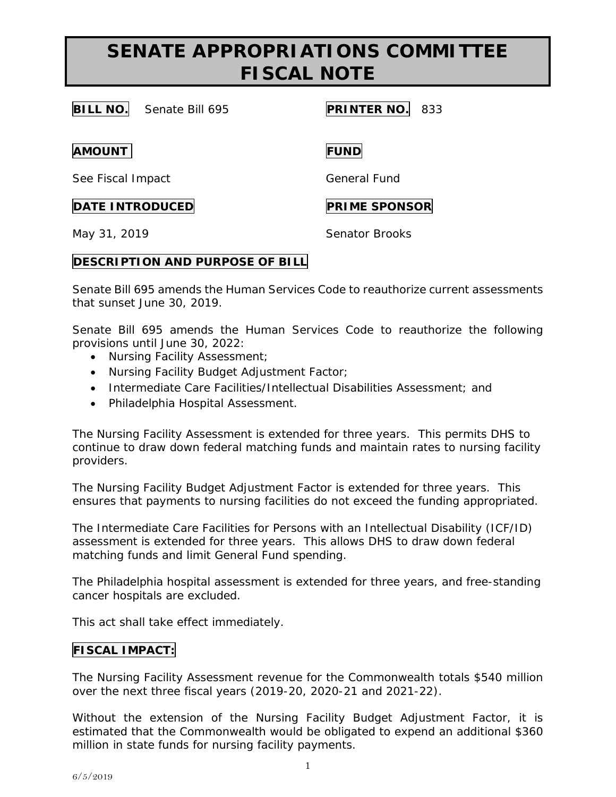## **SENATE APPROPRIATIONS COMMITTEE FISCAL NOTE**

**BILL NO.** Senate Bill 695 **PRINTER NO.** 833

**AMOUNT FUND**

See Fiscal Impact General Fund

**DATE INTRODUCED PRIME SPONSOR** 

May 31, 2019 **Senator Brooks** 

## **DESCRIPTION AND PURPOSE OF BILL**

Senate Bill 695 amends the Human Services Code to reauthorize current assessments that sunset June 30, 2019.

Senate Bill 695 amends the Human Services Code to reauthorize the following provisions until June 30, 2022:

- Nursing Facility Assessment;
- Nursing Facility Budget Adjustment Factor;
- Intermediate Care Facilities/Intellectual Disabilities Assessment; and
- Philadelphia Hospital Assessment.

The Nursing Facility Assessment is extended for three years. This permits DHS to continue to draw down federal matching funds and maintain rates to nursing facility providers.

The Nursing Facility Budget Adjustment Factor is extended for three years. This ensures that payments to nursing facilities do not exceed the funding appropriated.

The Intermediate Care Facilities for Persons with an Intellectual Disability (ICF/ID) assessment is extended for three years. This allows DHS to draw down federal matching funds and limit General Fund spending.

The Philadelphia hospital assessment is extended for three years, and free-standing cancer hospitals are excluded.

This act shall take effect immediately.

## **FISCAL IMPACT:**

The Nursing Facility Assessment revenue for the Commonwealth totals \$540 million over the next three fiscal years (2019-20, 2020-21 and 2021-22).

Without the extension of the Nursing Facility Budget Adjustment Factor, it is estimated that the Commonwealth would be obligated to expend an additional \$360 million in state funds for nursing facility payments.